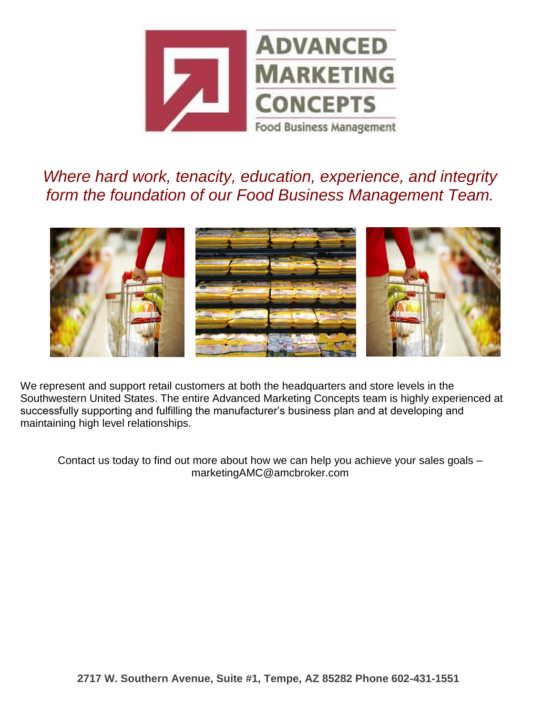

*Where hard work, tenacity, education, experience, and integrity form the foundation of our Food Business Management Team.*



We represent and support retail customers at both the headquarters and store levels in the Southwestern United States. The entire Advanced Marketing Concepts team is highly experienced at successfully supporting and fulfilling the manufacturer's business plan and at developing and maintaining high level relationships.

Contact us today to find out more about how we can help you achieve your sales goals – marketingAMC@amcbroker.com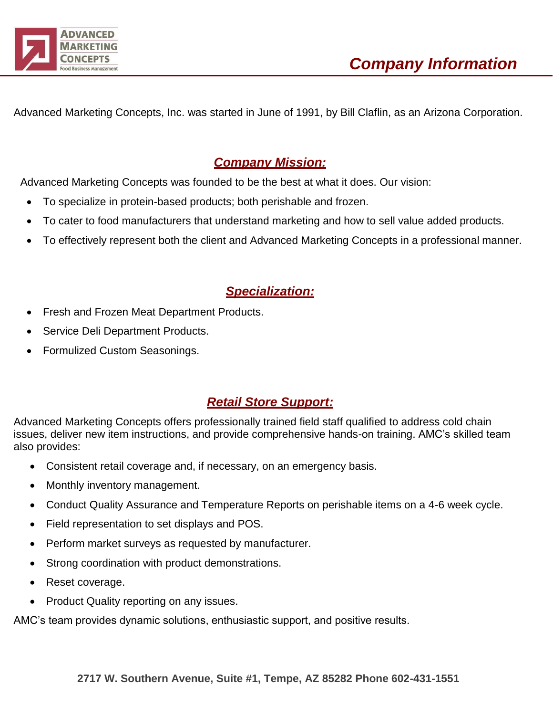

Advanced Marketing Concepts, Inc. was started in June of 1991, by Bill Claflin, as an Arizona Corporation.

### *Company Mission:*

Advanced Marketing Concepts was founded to be the best at what it does. Our vision:

- To specialize in protein-based products; both perishable and frozen.
- To cater to food manufacturers that understand marketing and how to sell value added products.
- To effectively represent both the client and Advanced Marketing Concepts in a professional manner.

## *Specialization:*

- Fresh and Frozen Meat Department Products.
- Service Deli Department Products.
- Formulized Custom Seasonings.

## *Retail Store Support:*

Advanced Marketing Concepts offers professionally trained field staff qualified to address cold chain issues, deliver new item instructions, and provide comprehensive hands-on training. AMC's skilled team also provides:

- Consistent retail coverage and, if necessary, on an emergency basis.
- Monthly inventory management.
- Conduct Quality Assurance and Temperature Reports on perishable items on a 4-6 week cycle.
- Field representation to set displays and POS.
- Perform market surveys as requested by manufacturer.
- Strong coordination with product demonstrations.
- Reset coverage.
- Product Quality reporting on any issues.

AMC's team provides dynamic solutions, enthusiastic support, and positive results.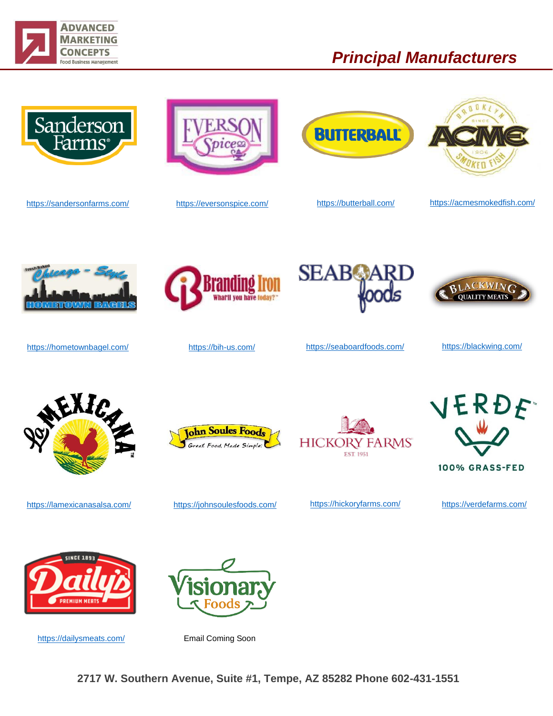

# *Principal Manufacturers*



<https://sandersonfarms.com/> <https://eversonspice.com/> <https://butterball.com/> <https://acmesmokedfish.com/>









<https://hometownbagel.com/> <https://bih-us.com/> <https://seaboardfoods.com/> <https://blackwing.com/>















<https://lamexicanasalsa.com/> <https://johnsoulesfoods.com/> <https://hickoryfarms.com/> <https://verdefarms.com/>



<https://dailysmeats.com/> Email Coming Soon

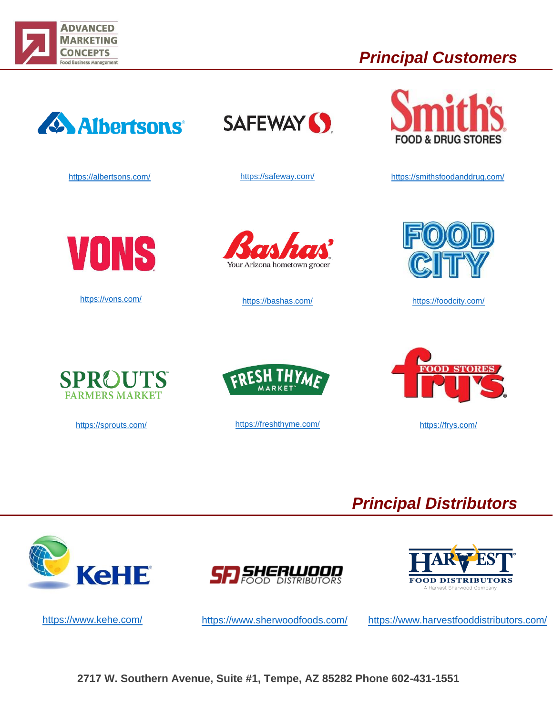

# *Principal Customers*



<https://albertsons.com/>





<https://safeway.com/> <https://smithsfoodanddrug.com/>



<https://vons.com/>



<https://bashas.com/> <https://foodcity.com/>







<https://sprouts.com/> <https://freshthyme.com/> https://freshthyme.com/ <https://frys.com/>



# *Principal Distributors*







<https://www.kehe.com/> <https://www.sherwoodfoods.com/> <https://www.harvestfooddistributors.com/>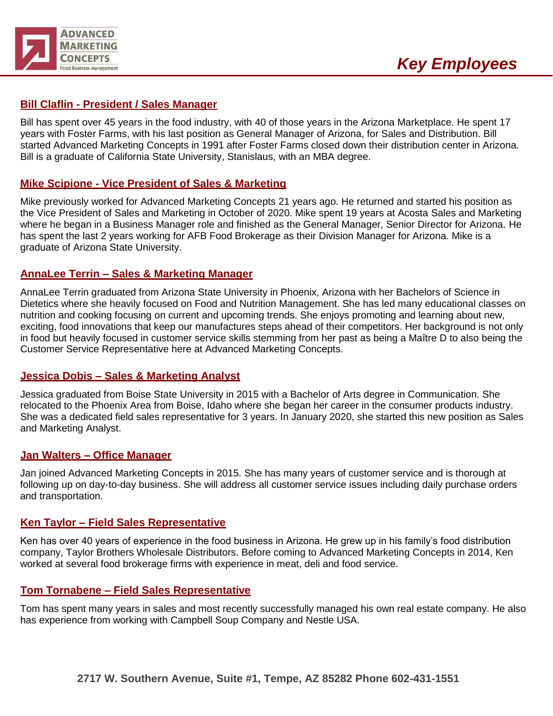

### **Bill Claflin - President / Sales Manager**

Bill has spent over 45 years in the food industry, with 40 of those years in the Arizona Marketplace. He spent 17 years with Foster Farms, with his last position as General Manager of Arizona, for Sales and Distribution. Bill started Advanced Marketing Concepts in 1991 after Foster Farms closed down their distribution center in Arizona. Bill is a graduate of California State University, Stanislaus, with an MBA degree.

### **Mike Scipione - Vice President of Sales & Marketing**

Mike previously worked for Advanced Marketing Concepts 21 years ago. He returned and started his position as the Vice President of Sales and Marketing in October of 2020. Mike spent 19 years at Acosta Sales and Marketing where he began in a Business Manager role and finished as the General Manager, Senior Director for Arizona. He has spent the last 2 years working for AFB Food Brokerage as their Division Manager for Arizona. Mike is a graduate of Arizona State University.

#### **AnnaLee Terrin – Sales & Marketing Manager**

AnnaLee Terrin graduated from Arizona State University in Phoenix, Arizona with her Bachelors of Science in Dietetics where she heavily focused on Food and Nutrition Management. She has led many educational classes on nutrition and cooking focusing on current and upcoming trends. She enjoys promoting and learning about new, exciting, food innovations that keep our manufactures steps ahead of their competitors. Her background is not only in food but heavily focused in customer service skills stemming from her past as being a Maître D to also being the Customer Service Representative here at Advanced Marketing Concepts.

#### **Jessica Dobis – Sales & Marketing Analyst**

Jessica graduated from Boise State University in 2015 with a Bachelor of Arts degree in Communication. She relocated to the Phoenix Area from Boise, Idaho where she began her career in the consumer products industry. She was a dedicated field sales representative for 3 years. In January 2020, she started this new position as Sales and Marketing Analyst.

#### **Jan Walters – Office Manager**

Jan joined Advanced Marketing Concepts in 2015. She has many years of customer service and is thorough at following up on day-to-day business. She will address all customer service issues including daily purchase orders and transportation.

#### **Ken Taylor – Field Sales Representative**

Ken has over 40 years of experience in the food business in Arizona. He grew up in his family's food distribution company, Taylor Brothers Wholesale Distributors. Before coming to Advanced Marketing Concepts in 2014, Ken worked at several food brokerage firms with experience in meat, deli and food service.

#### **Tom Tornabene – Field Sales Representative**

Tom has spent many years in sales and most recently successfully managed his own real estate company. He also has experience from working with Campbell Soup Company and Nestle USA.